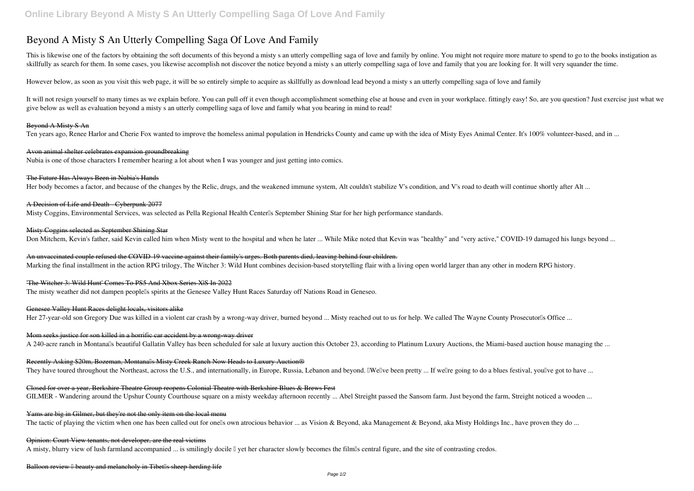# **Beyond A Misty S An Utterly Compelling Saga Of Love And Family**

This is likewise one of the factors by obtaining the soft documents of this beyond a misty s an utterly compelling saga of love and family by online. You might not require more mature to spend to go to the books instigatio skillfully as search for them. In some cases, you likewise accomplish not discover the notice beyond a misty s an utterly compelling saga of love and family that you are looking for. It will very squander the time.

It will not resign yourself to many times as we explain before. You can pull off it even though accomplishment something else at house and even in your workplace, fittingly easy! So, are you question? Just exercise just wh give below as well as evaluation **beyond a misty s an utterly compelling saga of love and family** what you bearing in mind to read!

However below, as soon as you visit this web page, it will be so entirely simple to acquire as skillfully as download lead beyond a misty s an utterly compelling saga of love and family

## Beyond A Misty S An

Ten years ago, Renee Harlor and Cherie Fox wanted to improve the homeless animal population in Hendricks County and came up with the idea of Misty Eyes Animal Center. It's 100% volunteer-based, and in ...

#### Avon animal shelter celebrates expansion groundbreaking

Nubia is one of those characters I remember hearing a lot about when I was younger and just getting into comics.

## The Future Has Always Been in Nubia's Hands

Her body becomes a factor, and because of the changes by the Relic, drugs, and the weakened immune system, Alt couldn't stabilize V's condition, and V's road to death will continue shortly after Alt ...

## A Decision of Life and Death - Cyberpunk 2077

Misty Coggins, Environmental Services, was selected as Pella Regional Health Center<sup>'</sup>s September Shining Star for her high performance standards.

#### Misty Coggins selected as September Shining Star

Don Mitchem, Kevin's father, said Kevin called him when Misty went to the hospital and when he later ... While Mike noted that Kevin was "healthy" and "very active," COVID-19 damaged his lungs beyond ...

An unvaccinated couple refused the COVID-19 vaccine against their family's urges. Both parents died, leaving behind four children.

Marking the final installment in the action RPG trilogy, The Witcher 3: Wild Hunt combines decision-based storytelling flair with a living open world larger than any other in modern RPG history.

#### 'The Witcher 3: Wild Hunt' Comes To PS5 And Xbox Series X|S In 2022

The misty weather did not dampen peoplells spirits at the Genesee Valley Hunt Races Saturday off Nations Road in Geneseo.

#### Genesee Valley Hunt Races delight locals, visitors alike

Her 27-year-old son Gregory Due was killed in a violent car crash by a wrong-way driver, burned beyond ... Misty reached out to us for help. We called The Wayne County Prosecutorlls Office ...

### Mom seeks justice for son killed in a horrific car accident by a wrong-way driver

A 240-acre ranch in Montanalls beautiful Gallatin Valley has been scheduled for sale at luxury auction this October 23, according to Platinum Luxury Auctions, the Miami-based auction house managing the ...

#### Recently Asking \$20m, Bozeman, Montanalls Misty Creek Ranch Now Heads to Luxury Auction®

They have toured throughout the Northeast, across the U.S., and internationally, in Europe, Russia, Lebanon and beyond. IWellve been pretty ... If wellre going to do a blues festival, youllve got to have ...

# Closed for over a year, Berkshire Theatre Group reopens Colonial Theatre with Berkshire Blues & Brews Fest

GILMER - Wandering around the Upshur County Courthouse square on a misty weekday afternoon recently ... Abel Streight passed the Sansom farm. Just beyond the farm, Streight noticed a wooden ...

#### Yams are big in Gilmer, but they're not the only item on the local menu

The tactic of playing the victim when one has been called out for onells own atrocious behavior ... as Vision & Beyond, aka Management & Beyond, aka Misty Holdings Inc., have proven they do ...

# Opinion: Court View tenants, not developer, are the real victims

A misty, blurry view of lush farmland accompanied ... is smilingly docile  $\Box$  yet her character slowly becomes the film $\Box$ s central figure, and the site of contrasting credos.